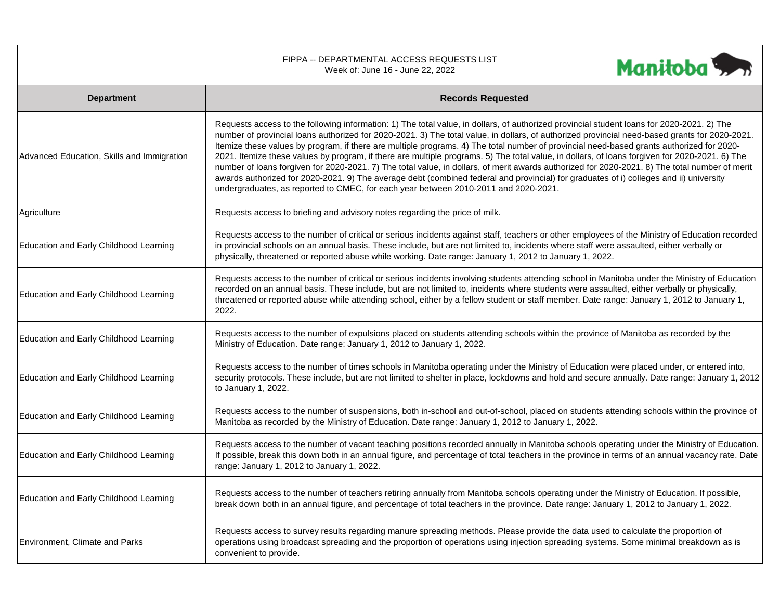| FIPPA -- DEPARTMENTAL ACCESS REQUESTS LIST<br>Manitoba <sub>22</sub><br>Week of: June 16 - June 22, 2022 |                                                                                                                                                                                                                                                                                                                                                                                                                                                                                                                                                                                                                                                                                                                                                                                                                                                                                                                                                                                |  |  |  |
|----------------------------------------------------------------------------------------------------------|--------------------------------------------------------------------------------------------------------------------------------------------------------------------------------------------------------------------------------------------------------------------------------------------------------------------------------------------------------------------------------------------------------------------------------------------------------------------------------------------------------------------------------------------------------------------------------------------------------------------------------------------------------------------------------------------------------------------------------------------------------------------------------------------------------------------------------------------------------------------------------------------------------------------------------------------------------------------------------|--|--|--|
| <b>Department</b>                                                                                        | <b>Records Requested</b>                                                                                                                                                                                                                                                                                                                                                                                                                                                                                                                                                                                                                                                                                                                                                                                                                                                                                                                                                       |  |  |  |
| Advanced Education, Skills and Immigration                                                               | Requests access to the following information: 1) The total value, in dollars, of authorized provincial student loans for 2020-2021. 2) The<br>number of provincial loans authorized for 2020-2021. 3) The total value, in dollars, of authorized provincial need-based grants for 2020-2021.<br>Itemize these values by program, if there are multiple programs. 4) The total number of provincial need-based grants authorized for 2020-<br>2021. Itemize these values by program, if there are multiple programs. 5) The total value, in dollars, of loans forgiven for 2020-2021. 6) The<br>number of loans forgiven for 2020-2021. 7) The total value, in dollars, of merit awards authorized for 2020-2021. 8) The total number of merit<br>awards authorized for 2020-2021. 9) The average debt (combined federal and provincial) for graduates of i) colleges and ii) university<br>undergraduates, as reported to CMEC, for each year between 2010-2011 and 2020-2021. |  |  |  |
| Agriculture                                                                                              | Requests access to briefing and advisory notes regarding the price of milk.                                                                                                                                                                                                                                                                                                                                                                                                                                                                                                                                                                                                                                                                                                                                                                                                                                                                                                    |  |  |  |
| Education and Early Childhood Learning                                                                   | Requests access to the number of critical or serious incidents against staff, teachers or other employees of the Ministry of Education recorded<br>in provincial schools on an annual basis. These include, but are not limited to, incidents where staff were assaulted, either verbally or<br>physically, threatened or reported abuse while working. Date range: January 1, 2012 to January 1, 2022.                                                                                                                                                                                                                                                                                                                                                                                                                                                                                                                                                                        |  |  |  |
| Education and Early Childhood Learning                                                                   | Requests access to the number of critical or serious incidents involving students attending school in Manitoba under the Ministry of Education<br>recorded on an annual basis. These include, but are not limited to, incidents where students were assaulted, either verbally or physically,<br>threatened or reported abuse while attending school, either by a fellow student or staff member. Date range: January 1, 2012 to January 1,<br>2022.                                                                                                                                                                                                                                                                                                                                                                                                                                                                                                                           |  |  |  |
| Education and Early Childhood Learning                                                                   | Requests access to the number of expulsions placed on students attending schools within the province of Manitoba as recorded by the<br>Ministry of Education. Date range: January 1, 2012 to January 1, 2022.                                                                                                                                                                                                                                                                                                                                                                                                                                                                                                                                                                                                                                                                                                                                                                  |  |  |  |
| Education and Early Childhood Learning                                                                   | Requests access to the number of times schools in Manitoba operating under the Ministry of Education were placed under, or entered into,<br>security protocols. These include, but are not limited to shelter in place, lockdowns and hold and secure annually. Date range: January 1, 2012<br>to January 1, 2022.                                                                                                                                                                                                                                                                                                                                                                                                                                                                                                                                                                                                                                                             |  |  |  |
| Education and Early Childhood Learning                                                                   | Requests access to the number of suspensions, both in-school and out-of-school, placed on students attending schools within the province of<br>Manitoba as recorded by the Ministry of Education. Date range: January 1, 2012 to January 1, 2022.                                                                                                                                                                                                                                                                                                                                                                                                                                                                                                                                                                                                                                                                                                                              |  |  |  |
| Education and Early Childhood Learning                                                                   | Requests access to the number of vacant teaching positions recorded annually in Manitoba schools operating under the Ministry of Education.<br>If possible, break this down both in an annual figure, and percentage of total teachers in the province in terms of an annual vacancy rate. Date<br>range: January 1, 2012 to January 1, 2022.                                                                                                                                                                                                                                                                                                                                                                                                                                                                                                                                                                                                                                  |  |  |  |
| Education and Early Childhood Learning                                                                   | Requests access to the number of teachers retiring annually from Manitoba schools operating under the Ministry of Education. If possible,<br>break down both in an annual figure, and percentage of total teachers in the province. Date range: January 1, 2012 to January 1, 2022.                                                                                                                                                                                                                                                                                                                                                                                                                                                                                                                                                                                                                                                                                            |  |  |  |
| Environment, Climate and Parks                                                                           | Requests access to survey results regarding manure spreading methods. Please provide the data used to calculate the proportion of<br>operations using broadcast spreading and the proportion of operations using injection spreading systems. Some minimal breakdown as is<br>convenient to provide.                                                                                                                                                                                                                                                                                                                                                                                                                                                                                                                                                                                                                                                                           |  |  |  |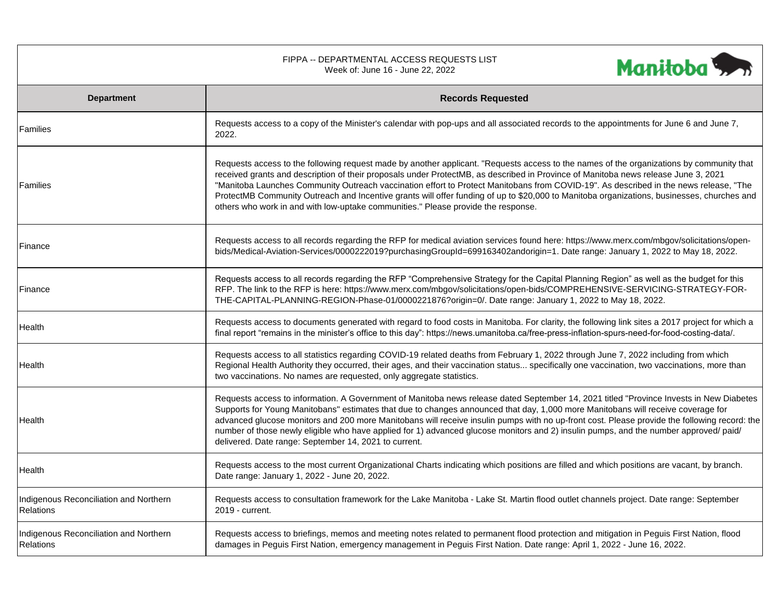|                                                            | FIPPA -- DEPARTMENTAL ACCESS REQUESTS LIST<br>Week of: June 16 - June 22, 2022                                                                                                                                                                                                                                                                                                                                                                                                                                                                                                                                                                             | Manitoba |
|------------------------------------------------------------|------------------------------------------------------------------------------------------------------------------------------------------------------------------------------------------------------------------------------------------------------------------------------------------------------------------------------------------------------------------------------------------------------------------------------------------------------------------------------------------------------------------------------------------------------------------------------------------------------------------------------------------------------------|----------|
| <b>Department</b>                                          | <b>Records Requested</b>                                                                                                                                                                                                                                                                                                                                                                                                                                                                                                                                                                                                                                   |          |
| Families                                                   | Requests access to a copy of the Minister's calendar with pop-ups and all associated records to the appointments for June 6 and June 7,<br>2022.                                                                                                                                                                                                                                                                                                                                                                                                                                                                                                           |          |
| Families                                                   | Requests access to the following request made by another applicant. "Requests access to the names of the organizations by community that<br>received grants and description of their proposals under ProtectMB, as described in Province of Manitoba news release June 3, 2021<br>"Manitoba Launches Community Outreach vaccination effort to Protect Manitobans from COVID-19". As described in the news release, "The<br>ProtectMB Community Outreach and Incentive grants will offer funding of up to \$20,000 to Manitoba organizations, businesses, churches and<br>others who work in and with low-uptake communities." Please provide the response. |          |
| Finance                                                    | Requests access to all records regarding the RFP for medical aviation services found here: https://www.merx.com/mbgov/solicitations/open-<br>bids/Medical-Aviation-Services/0000222019?purchasingGroupId=699163402andorigin=1. Date range: January 1, 2022 to May 18, 2022.                                                                                                                                                                                                                                                                                                                                                                                |          |
| Finance                                                    | Requests access to all records regarding the RFP "Comprehensive Strategy for the Capital Planning Region" as well as the budget for this<br>RFP. The link to the RFP is here: https://www.merx.com/mbgov/solicitations/open-bids/COMPREHENSIVE-SERVICING-STRATEGY-FOR-<br>THE-CAPITAL-PLANNING-REGION-Phase-01/0000221876?origin=0/. Date range: January 1, 2022 to May 18, 2022.                                                                                                                                                                                                                                                                          |          |
| Health                                                     | Requests access to documents generated with regard to food costs in Manitoba. For clarity, the following link sites a 2017 project for which a<br>final report "remains in the minister's office to this day": https://news.umanitoba.ca/free-press-inflation-spurs-need-for-food-costing-data/.                                                                                                                                                                                                                                                                                                                                                           |          |
| Health                                                     | Requests access to all statistics regarding COVID-19 related deaths from February 1, 2022 through June 7, 2022 including from which<br>Regional Health Authority they occurred, their ages, and their vaccination status specifically one vaccination, two vaccinations, more than<br>two vaccinations. No names are requested, only aggregate statistics.                                                                                                                                                                                                                                                                                                 |          |
| Health                                                     | Requests access to information. A Government of Manitoba news release dated September 14, 2021 titled "Province Invests in New Diabetes<br>Supports for Young Manitobans" estimates that due to changes announced that day, 1,000 more Manitobans will receive coverage for<br>advanced glucose monitors and 200 more Manitobans will receive insulin pumps with no up-front cost. Please provide the following record: the<br>number of those newly eligible who have applied for 1) advanced glucose monitors and 2) insulin pumps, and the number approved/ paid/<br>delivered. Date range: September 14, 2021 to current.                              |          |
| Health                                                     | Requests access to the most current Organizational Charts indicating which positions are filled and which positions are vacant, by branch.<br>Date range: January 1, 2022 - June 20, 2022.                                                                                                                                                                                                                                                                                                                                                                                                                                                                 |          |
| Indigenous Reconciliation and Northern<br>Relations        | Requests access to consultation framework for the Lake Manitoba - Lake St. Martin flood outlet channels project. Date range: September<br>2019 - current.                                                                                                                                                                                                                                                                                                                                                                                                                                                                                                  |          |
| Indigenous Reconciliation and Northern<br><b>Relations</b> | Requests access to briefings, memos and meeting notes related to permanent flood protection and mitigation in Peguis First Nation, flood<br>damages in Peguis First Nation, emergency management in Peguis First Nation. Date range: April 1, 2022 - June 16, 2022.                                                                                                                                                                                                                                                                                                                                                                                        |          |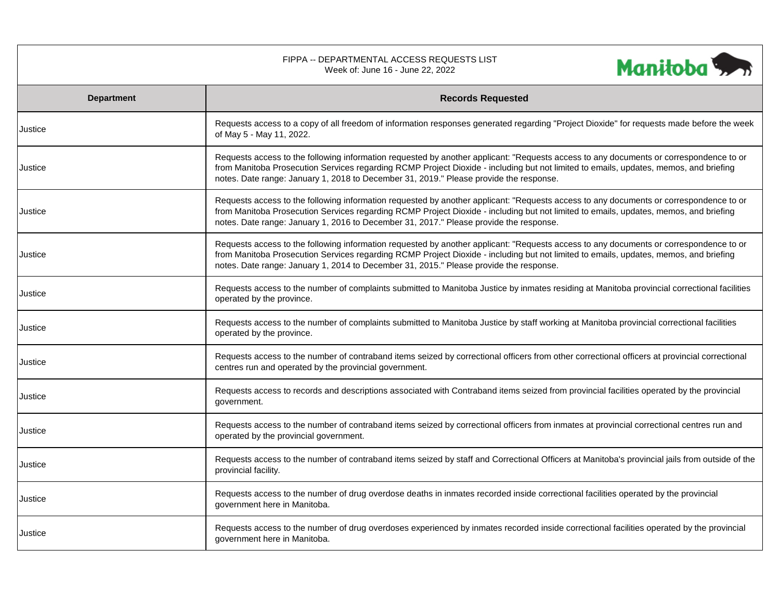| FIPPA -- DEPARTMENTAL ACCESS REQUESTS LIST<br>Manitoba <sup>1</sup><br>Week of: June 16 - June 22, 2022 |                                                                                                                                                                                                                                                                                                                                                                           |  |  |  |
|---------------------------------------------------------------------------------------------------------|---------------------------------------------------------------------------------------------------------------------------------------------------------------------------------------------------------------------------------------------------------------------------------------------------------------------------------------------------------------------------|--|--|--|
| <b>Department</b>                                                                                       | <b>Records Requested</b>                                                                                                                                                                                                                                                                                                                                                  |  |  |  |
| Justice                                                                                                 | Requests access to a copy of all freedom of information responses generated regarding "Project Dioxide" for requests made before the week<br>of May 5 - May 11, 2022.                                                                                                                                                                                                     |  |  |  |
| Justice                                                                                                 | Requests access to the following information requested by another applicant: "Requests access to any documents or correspondence to or<br>from Manitoba Prosecution Services regarding RCMP Project Dioxide - including but not limited to emails, updates, memos, and briefing<br>notes. Date range: January 1, 2018 to December 31, 2019." Please provide the response. |  |  |  |
| Justice                                                                                                 | Requests access to the following information requested by another applicant: "Requests access to any documents or correspondence to or<br>from Manitoba Prosecution Services regarding RCMP Project Dioxide - including but not limited to emails, updates, memos, and briefing<br>notes. Date range: January 1, 2016 to December 31, 2017." Please provide the response. |  |  |  |
| Justice                                                                                                 | Requests access to the following information requested by another applicant: "Requests access to any documents or correspondence to or<br>from Manitoba Prosecution Services regarding RCMP Project Dioxide - including but not limited to emails, updates, memos, and briefing<br>notes. Date range: January 1, 2014 to December 31, 2015." Please provide the response. |  |  |  |
| Justice                                                                                                 | Requests access to the number of complaints submitted to Manitoba Justice by inmates residing at Manitoba provincial correctional facilities<br>operated by the province.                                                                                                                                                                                                 |  |  |  |
| Justice                                                                                                 | Requests access to the number of complaints submitted to Manitoba Justice by staff working at Manitoba provincial correctional facilities<br>operated by the province.                                                                                                                                                                                                    |  |  |  |
| Justice                                                                                                 | Requests access to the number of contraband items seized by correctional officers from other correctional officers at provincial correctional<br>centres run and operated by the provincial government.                                                                                                                                                                   |  |  |  |
| Justice                                                                                                 | Requests access to records and descriptions associated with Contraband items seized from provincial facilities operated by the provincial<br>government.                                                                                                                                                                                                                  |  |  |  |
| Justice                                                                                                 | Requests access to the number of contraband items seized by correctional officers from inmates at provincial correctional centres run and<br>operated by the provincial government.                                                                                                                                                                                       |  |  |  |
| Justice                                                                                                 | Requests access to the number of contraband items seized by staff and Correctional Officers at Manitoba's provincial jails from outside of the<br>provincial facility.                                                                                                                                                                                                    |  |  |  |
| Justice                                                                                                 | Requests access to the number of drug overdose deaths in inmates recorded inside correctional facilities operated by the provincial<br>government here in Manitoba.                                                                                                                                                                                                       |  |  |  |
| Justice                                                                                                 | Requests access to the number of drug overdoses experienced by inmates recorded inside correctional facilities operated by the provincial<br>government here in Manitoba.                                                                                                                                                                                                 |  |  |  |